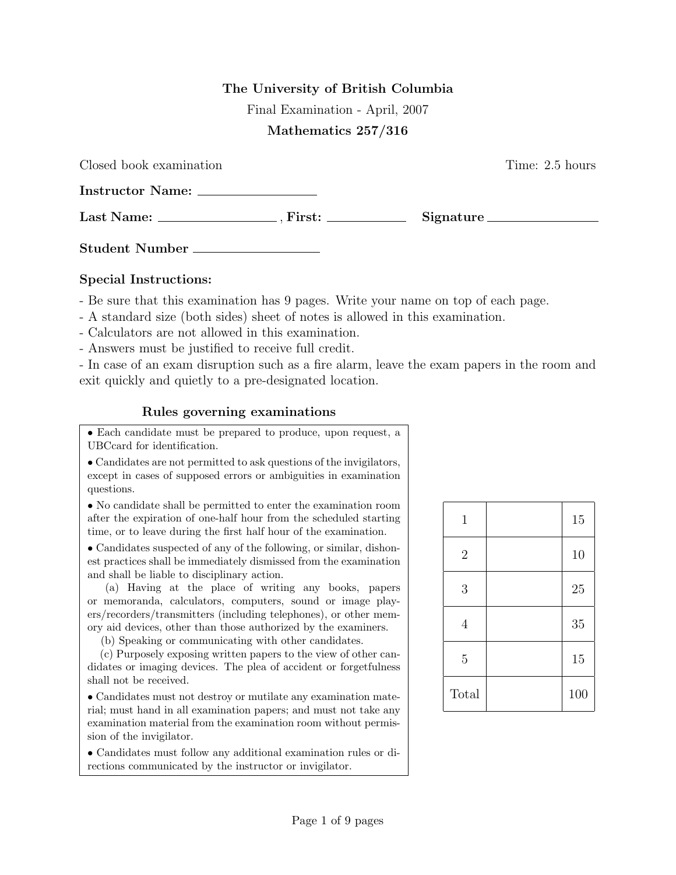## The University of British Columbia

Final Examination - April, 2007

## Mathematics 257/316

| Closed book examination | Time: 2.5 hours |
|-------------------------|-----------------|
|                         |                 |
| $Last Name:$ $First:$   | Signature       |
| Student Number          |                 |

## Special Instructions:

- Be sure that this examination has 9 pages. Write your name on top of each page.

- A standard size (both sides) sheet of notes is allowed in this examination.
- Calculators are not allowed in this examination.
- Answers must be justified to receive full credit.

- In case of an exam disruption such as a fire alarm, leave the exam papers in the room and exit quickly and quietly to a pre-designated location.

## Rules governing examinations

• Each candidate must be prepared to produce, upon request, a UBCcard for identification.

• Candidates are not permitted to ask questions of the invigilators, except in cases of supposed errors or ambiguities in examination questions.

• No candidate shall be permitted to enter the examination room after the expiration of one-half hour from the scheduled starting time, or to leave during the first half hour of the examination.

• Candidates suspected of any of the following, or similar, dishonest practices shall be immediately dismissed from the examination and shall be liable to disciplinary action.

(a) Having at the place of writing any books, papers or memoranda, calculators, computers, sound or image players/recorders/transmitters (including telephones), or other memory aid devices, other than those authorized by the examiners.

(b) Speaking or communicating with other candidates.

(c) Purposely exposing written papers to the view of other candidates or imaging devices. The plea of accident or forgetfulness shall not be received.

• Candidates must not destroy or mutilate any examination material; must hand in all examination papers; and must not take any examination material from the examination room without permission of the invigilator.

• Candidates must follow any additional examination rules or directions communicated by the instructor or invigilator.

| $\mathbf 1$    | 15  |
|----------------|-----|
| $\overline{2}$ | 10  |
| 3              | 25  |
| $\overline{4}$ | 35  |
| $\overline{5}$ | 15  |
| Total          | 100 |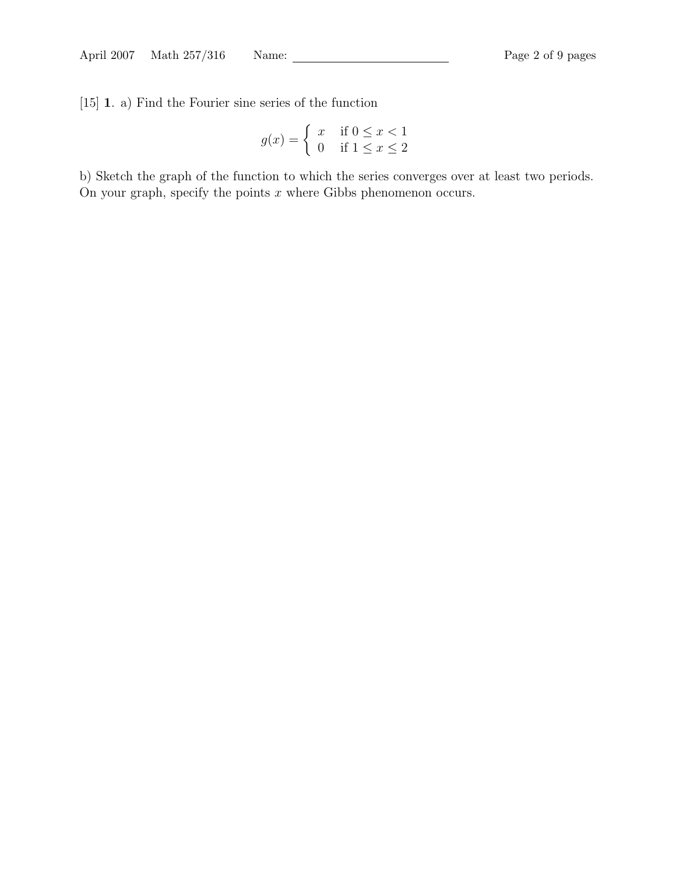[15] 1. a) Find the Fourier sine series of the function

$$
g(x) = \begin{cases} x & \text{if } 0 \le x < 1 \\ 0 & \text{if } 1 \le x \le 2 \end{cases}
$$

b) Sketch the graph of the function to which the series converges over at least two periods. On your graph, specify the points  $x$  where Gibbs phenomenon occurs.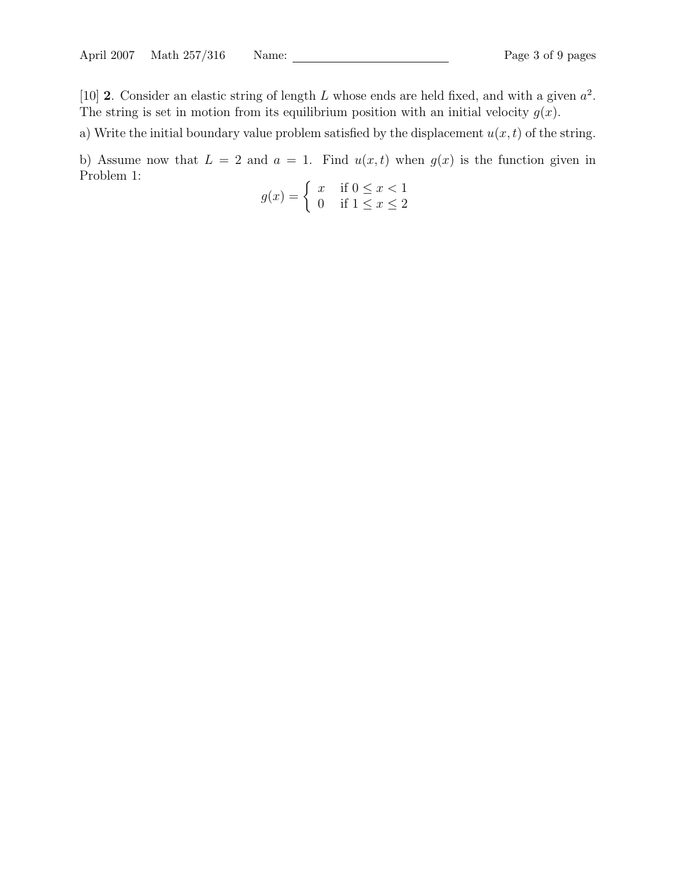[10] 2. Consider an elastic string of length L whose ends are held fixed, and with a given  $a^2$ . The string is set in motion from its equilibrium position with an initial velocity  $g(x)$ .

a) Write the initial boundary value problem satisfied by the displacement  $u(x, t)$  of the string.

b) Assume now that  $L = 2$  and  $a = 1$ . Find  $u(x, t)$  when  $g(x)$  is the function given in Problem 1:

$$
g(x) = \begin{cases} x & \text{if } 0 \le x < 1 \\ 0 & \text{if } 1 \le x \le 2 \end{cases}
$$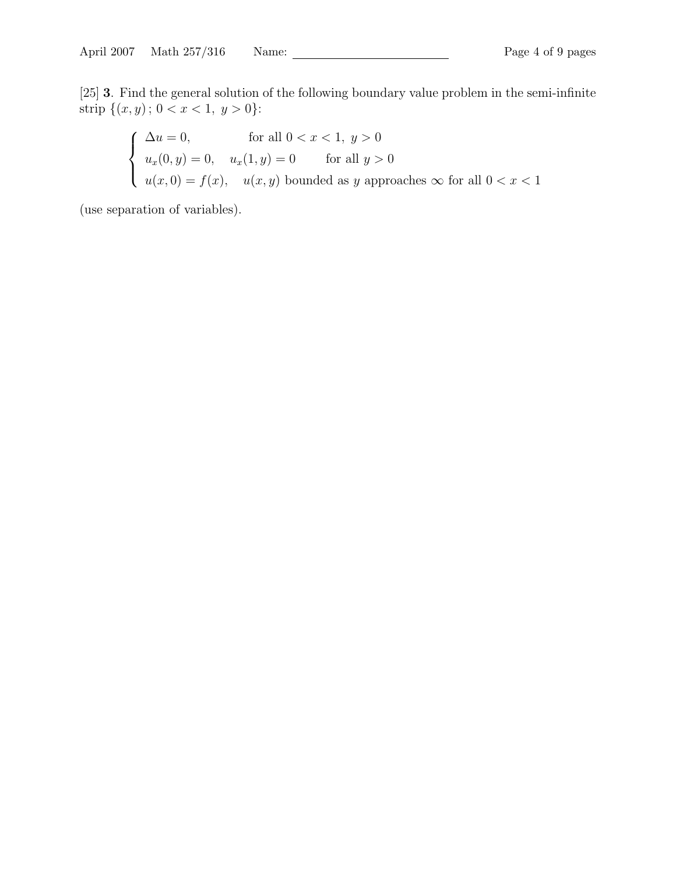[25] 3. Find the general solution of the following boundary value problem in the semi-infinite strip  $\{(x, y)$ ;  $0 < x < 1, y > 0\}$ :

$$
\begin{cases}\n\Delta u = 0, & \text{for all } 0 < x < 1, y > 0 \\
u_x(0, y) = 0, & u_x(1, y) = 0 \quad \text{for all } y > 0 \\
u(x, 0) = f(x), & u(x, y) \text{ bounded as } y \text{ approaches } \infty \text{ for all } 0 < x < 1\n\end{cases}
$$

(use separation of variables).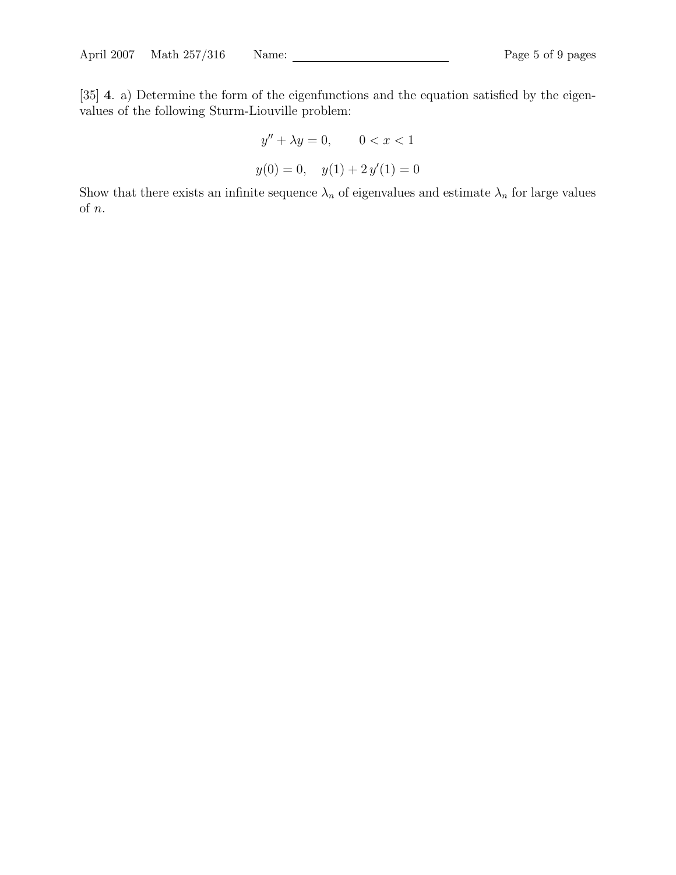[35] 4. a) Determine the form of the eigenfunctions and the equation satisfied by the eigenvalues of the following Sturm-Liouville problem:

$$
y'' + \lambda y = 0, \qquad 0 < x < 1
$$
\n
$$
y(0) = 0, \quad y(1) + 2y'(1) = 0
$$

Show that there exists an infinite sequence  $\lambda_n$  of eigenvalues and estimate  $\lambda_n$  for large values of  $\boldsymbol{n}.$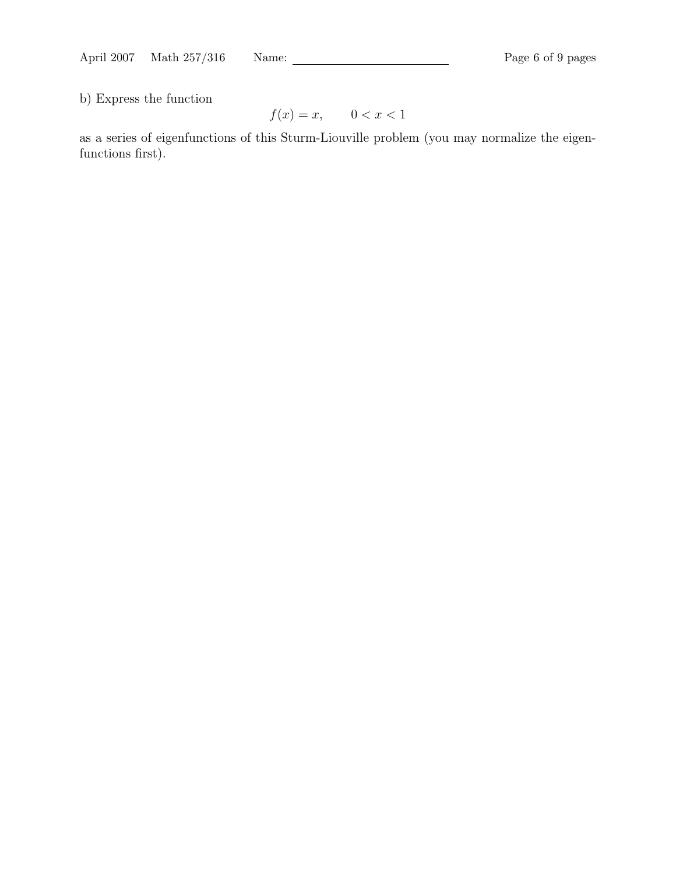b) Express the function

$$
f(x) = x, \qquad 0 < x < 1
$$

as a series of eigenfunctions of this Sturm-Liouville problem (you may normalize the eigenfunctions first).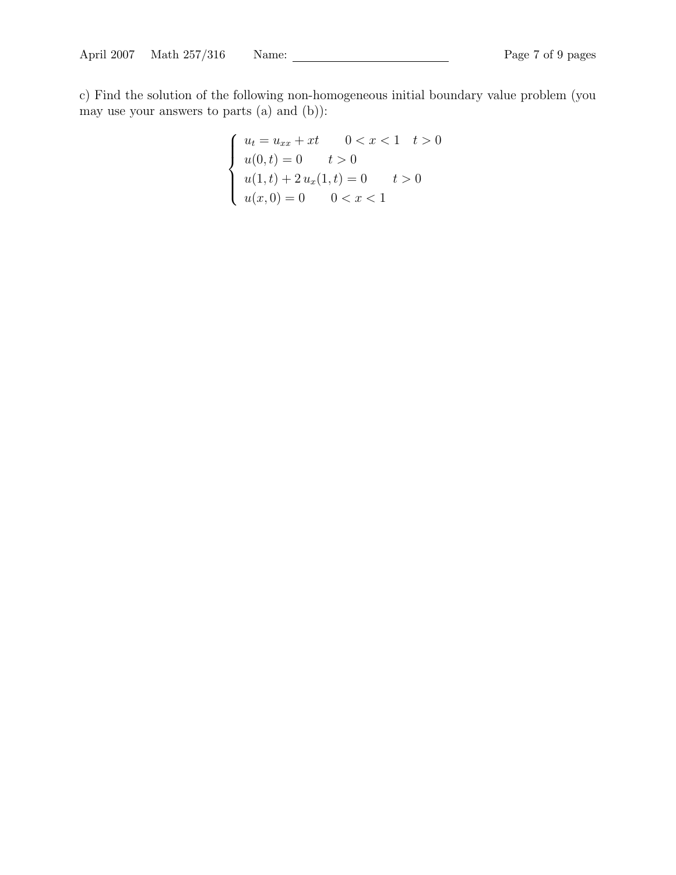c) Find the solution of the following non-homogeneous initial boundary value problem (you may use your answers to parts (a) and (b)):

$$
\begin{cases}\n u_t = u_{xx} + xt & 0 < x < 1 \quad t > 0 \\
 u(0, t) = 0 & t > 0 \\
 u(1, t) + 2u_x(1, t) = 0 & t > 0 \\
 u(x, 0) = 0 & 0 < x < 1\n\end{cases}
$$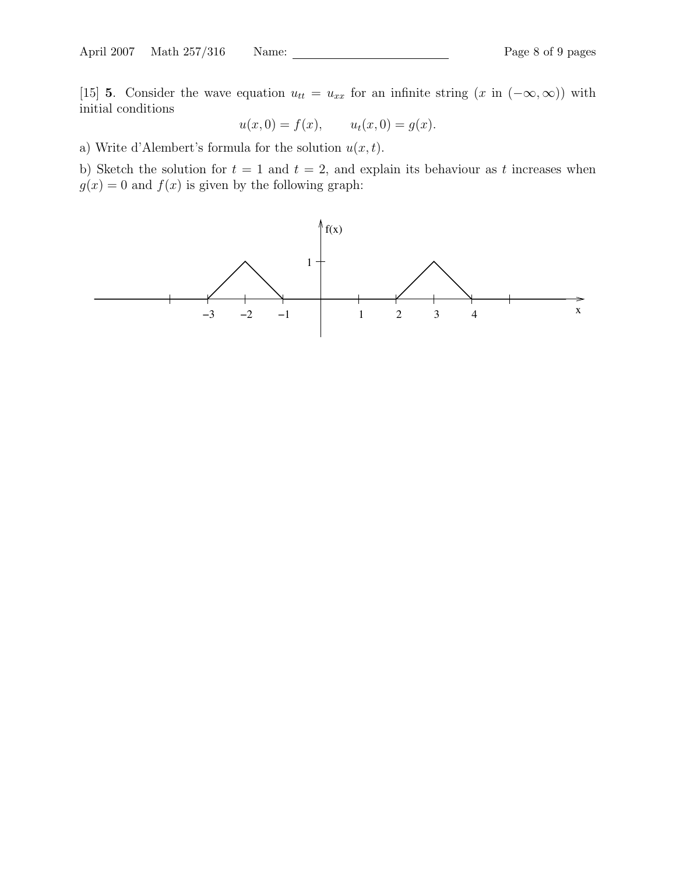[15] 5. Consider the wave equation  $u_{tt} = u_{xx}$  for an infinite string  $(x \text{ in } (-\infty, \infty))$  with initial conditions

$$
u(x, 0) = f(x),
$$
  $u_t(x, 0) = g(x).$ 

a) Write d'Alembert's formula for the solution  $u(x, t)$ .

b) Sketch the solution for  $t = 1$  and  $t = 2$ , and explain its behaviour as t increases when  $g(x) = 0$  and  $f(x)$  is given by the following graph: